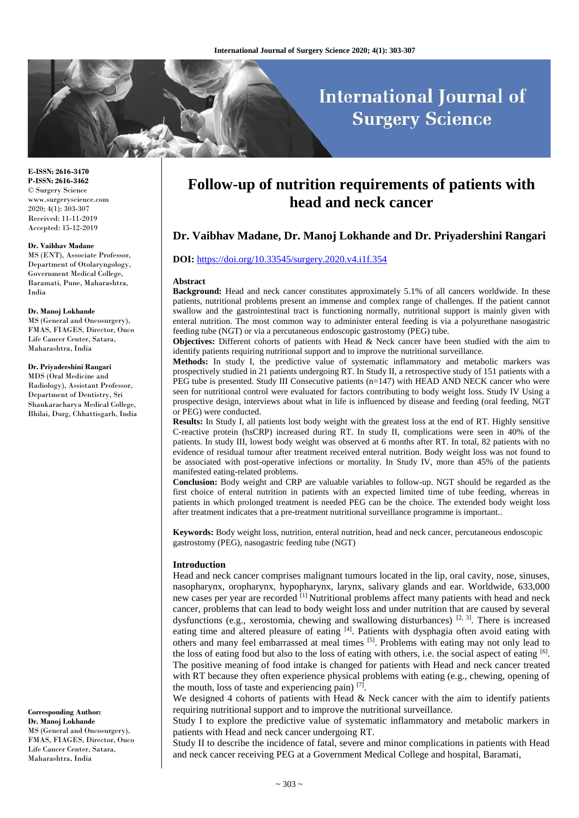# **International Journal of Surgery Science**

**E-ISSN: 2616-3470 P-ISSN: 2616-3462** © Surgery Science www.surgeryscience.com 2020; 4(1): 303-307 Received: 11-11-2019 Accepted: 15-12-2019

#### **Dr. Vaibhav Madane**

MS (ENT), Associate Professor, Department of Otolaryngology, Government Medical College, Baramati, Pune, Maharashtra, India

#### **Dr. Manoj Lokhande**

MS (General and Oncosurgery), FMAS, FIAGES, Director, Onco Life Cancer Center, Satara, Maharashtra, India

#### **Dr. Priyadershini Rangari**

MDS (Oral Medicine and Radiology), Assistant Professor, Department of Dentistry, Sri Shankaracharya Medical College, Bhilai, Durg, Chhattisgarh, India

**Corresponding Author: Dr. Manoj Lokhande** MS (General and Oncosurgery), FMAS, FIAGES, Director, Onco Life Cancer Center, Satara, Maharashtra, India

## **Follow-up of nutrition requirements of patients with head and neck cancer**

## **Dr. Vaibhav Madane, Dr. Manoj Lokhande and Dr. Priyadershini Rangari**

#### **DOI:** [https://doi.org/10.33545/surgery.2020.v4.i1f.354](https://doi.org/10.33545/surgery.2020.v4.i1f.350)

#### **Abstract**

**Background:** Head and neck cancer constitutes approximately 5.1% of all cancers worldwide. In these patients, nutritional problems present an immense and complex range of challenges. If the patient cannot swallow and the gastrointestinal tract is functioning normally, nutritional support is mainly given with enteral nutrition. The most common way to administer enteral feeding is via a polyurethane nasogastric feeding tube (NGT) or via a percutaneous endoscopic gastrostomy (PEG) tube.

**Objectives:** Different cohorts of patients with Head & Neck cancer have been studied with the aim to identify patients requiring nutritional support and to improve the nutritional surveillance.

**Methods:** In study I, the predictive value of systematic inflammatory and metabolic markers was prospectively studied in 21 patients undergoing RT. In Study II, a retrospective study of 151 patients with a PEG tube is presented. Study III Consecutive patients  $(n=147)$  with HEAD AND NECK cancer who were seen for nutritional control were evaluated for factors contributing to body weight loss. Study IV Using a prospective design, interviews about what in life is influenced by disease and feeding (oral feeding, NGT or PEG) were conducted.

**Results:** In Study I, all patients lost body weight with the greatest loss at the end of RT. Highly sensitive C-reactive protein (hsCRP) increased during RT. In study II, complications were seen in 40% of the patients. In study III, lowest body weight was observed at 6 months after RT. In total, 82 patients with no evidence of residual tumour after treatment received enteral nutrition. Body weight loss was not found to be associated with post-operative infections or mortality. In Study IV, more than 45% of the patients manifested eating-related problems.

**Conclusion:** Body weight and CRP are valuable variables to follow-up. NGT should be regarded as the first choice of enteral nutrition in patients with an expected limited time of tube feeding, whereas in patients in which prolonged treatment is needed PEG can be the choice. The extended body weight loss after treatment indicates that a pre-treatment nutritional surveillance programme is important..

**Keywords:** Body weight loss, nutrition, enteral nutrition, head and neck cancer, percutaneous endoscopic gastrostomy (PEG), nasogastric feeding tube (NGT)

#### **Introduction**

Head and neck cancer comprises malignant tumours located in the lip, oral cavity, nose, sinuses, nasopharynx, oropharynx, hypopharynx, larynx, salivary glands and ear. Worldwide, 633,000 new cases per year are recorded [1] Nutritional problems affect many patients with head and neck cancer, problems that can lead to body weight loss and under nutrition that are caused by several dysfunctions (e.g., xerostomia, chewing and swallowing disturbances) <sup>[2, 3]</sup>. There is increased eating time and altered pleasure of eating [4]. Patients with dysphagia often avoid eating with others and many feel embarrassed at meal times [5]. Problems with eating may not only lead to the loss of eating food but also to the loss of eating with others, i.e. the social aspect of eating [6]. The positive meaning of food intake is changed for patients with Head and neck cancer treated with RT because they often experience physical problems with eating (e.g., chewing, opening of the mouth, loss of taste and experiencing pain) [7].

We designed 4 cohorts of patients with Head & Neck cancer with the aim to identify patients requiring nutritional support and to improve the nutritional surveillance.

Study I to explore the predictive value of systematic inflammatory and metabolic markers in patients with Head and neck cancer undergoing RT.

Study II to describe the incidence of fatal, severe and minor complications in patients with Head and neck cancer receiving PEG at a Government Medical College and hospital, Baramati,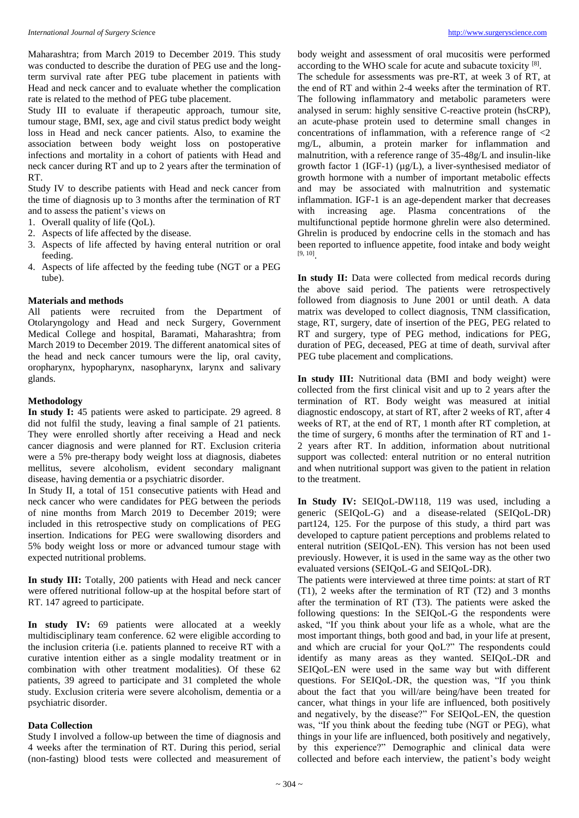Maharashtra; from March 2019 to December 2019. This study was conducted to describe the duration of PEG use and the longterm survival rate after PEG tube placement in patients with Head and neck cancer and to evaluate whether the complication rate is related to the method of PEG tube placement.

Study III to evaluate if therapeutic approach, tumour site, tumour stage, BMI, sex, age and civil status predict body weight loss in Head and neck cancer patients. Also, to examine the association between body weight loss on postoperative infections and mortality in a cohort of patients with Head and neck cancer during RT and up to 2 years after the termination of RT.

Study IV to describe patients with Head and neck cancer from the time of diagnosis up to 3 months after the termination of RT and to assess the patient's views on

- 1. Overall quality of life (QoL).
- 2. Aspects of life affected by the disease.
- 3. Aspects of life affected by having enteral nutrition or oral feeding.
- 4. Aspects of life affected by the feeding tube (NGT or a PEG tube).

#### **Materials and methods**

All patients were recruited from the Department of Otolaryngology and Head and neck Surgery, Government Medical College and hospital, Baramati, Maharashtra; from March 2019 to December 2019. The different anatomical sites of the head and neck cancer tumours were the lip, oral cavity, oropharynx, hypopharynx, nasopharynx, larynx and salivary glands.

## **Methodology**

**In study I:** 45 patients were asked to participate. 29 agreed. 8 did not fulfil the study, leaving a final sample of 21 patients. They were enrolled shortly after receiving a Head and neck cancer diagnosis and were planned for RT. Exclusion criteria were a 5% pre-therapy body weight loss at diagnosis, diabetes mellitus, severe alcoholism, evident secondary malignant disease, having dementia or a psychiatric disorder.

In Study II, a total of 151 consecutive patients with Head and neck cancer who were candidates for PEG between the periods of nine months from March 2019 to December 2019; were included in this retrospective study on complications of PEG insertion. Indications for PEG were swallowing disorders and 5% body weight loss or more or advanced tumour stage with expected nutritional problems.

**In study III:** Totally, 200 patients with Head and neck cancer were offered nutritional follow-up at the hospital before start of RT. 147 agreed to participate.

**In study IV:** 69 patients were allocated at a weekly multidisciplinary team conference. 62 were eligible according to the inclusion criteria (i.e. patients planned to receive RT with a curative intention either as a single modality treatment or in combination with other treatment modalities). Of these 62 patients, 39 agreed to participate and 31 completed the whole study. Exclusion criteria were severe alcoholism, dementia or a psychiatric disorder.

#### **Data Collection**

Study I involved a follow-up between the time of diagnosis and 4 weeks after the termination of RT. During this period, serial (non-fasting) blood tests were collected and measurement of

body weight and assessment of oral mucositis were performed according to the WHO scale for acute and subacute toxicity [8].

The schedule for assessments was pre-RT, at week 3 of RT, at the end of RT and within 2-4 weeks after the termination of RT. The following inflammatory and metabolic parameters were analysed in serum: highly sensitive C-reactive protein (hsCRP), an acute-phase protein used to determine small changes in concentrations of inflammation, with a reference range of <2 mg/L, albumin, a protein marker for inflammation and malnutrition, with a reference range of 35-48g/L and insulin-like growth factor 1 (IGF-1) (µg/L), a liver-synthesised mediator of growth hormone with a number of important metabolic effects and may be associated with malnutrition and systematic inflammation. IGF-1 is an age-dependent marker that decreases with increasing age. Plasma concentrations of the multifunctional peptide hormone ghrelin were also determined. Ghrelin is produced by endocrine cells in the stomach and has been reported to influence appetite, food intake and body weight [9, 10] .

**In study II:** Data were collected from medical records during the above said period. The patients were retrospectively followed from diagnosis to June 2001 or until death. A data matrix was developed to collect diagnosis, TNM classification, stage, RT, surgery, date of insertion of the PEG, PEG related to RT and surgery, type of PEG method, indications for PEG, duration of PEG, deceased, PEG at time of death, survival after PEG tube placement and complications.

**In study III:** Nutritional data (BMI and body weight) were collected from the first clinical visit and up to 2 years after the termination of RT. Body weight was measured at initial diagnostic endoscopy, at start of RT, after 2 weeks of RT, after 4 weeks of RT, at the end of RT, 1 month after RT completion, at the time of surgery, 6 months after the termination of RT and 1- 2 years after RT. In addition, information about nutritional support was collected: enteral nutrition or no enteral nutrition and when nutritional support was given to the patient in relation to the treatment.

**In Study IV:** SEIQoL-DW118, 119 was used, including a generic (SEIQoL-G) and a disease-related (SEIQoL-DR) part124, 125. For the purpose of this study, a third part was developed to capture patient perceptions and problems related to enteral nutrition (SEIQoL-EN). This version has not been used previously. However, it is used in the same way as the other two evaluated versions (SEIQoL-G and SEIQoL-DR).

The patients were interviewed at three time points: at start of RT (T1), 2 weeks after the termination of RT (T2) and 3 months after the termination of RT (T3). The patients were asked the following questions: In the SEIQoL-G the respondents were asked, "If you think about your life as a whole, what are the most important things, both good and bad, in your life at present, and which are crucial for your QoL?" The respondents could identify as many areas as they wanted. SEIQoL-DR and SEIQoL-EN were used in the same way but with different questions. For SEIQoL-DR, the question was, "If you think about the fact that you will/are being/have been treated for cancer, what things in your life are influenced, both positively and negatively, by the disease?" For SEIQoL-EN, the question was, "If you think about the feeding tube (NGT or PEG), what things in your life are influenced, both positively and negatively, by this experience?" Demographic and clinical data were collected and before each interview, the patient's body weight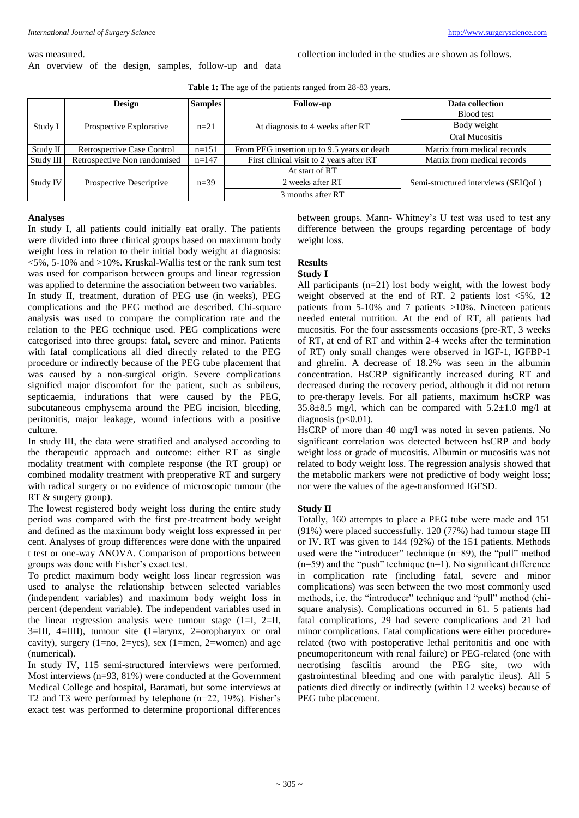#### was measured.

An overview of the design, samples, follow-up and data

collection included in the studies are shown as follows.

Table 1: The age of the patients ranged from 28-83 years.

|           | <b>Design</b>                     | <b>Samples</b> | <b>Follow-up</b>                            | Data collection                     |
|-----------|-----------------------------------|----------------|---------------------------------------------|-------------------------------------|
| Study I   | Prospective Explorative           | $n=21$         | At diagnosis to 4 weeks after RT            | Blood test                          |
|           |                                   |                |                                             | Body weight                         |
|           |                                   |                |                                             | Oral Mucositis                      |
| Study II  | <b>Retrospective Case Control</b> | $n=151$        | From PEG insertion up to 9.5 years or death | Matrix from medical records         |
| Study III | Retrospective Non randomised      | $n=147$        | First clinical visit to 2 years after RT    | Matrix from medical records         |
| Study IV  | Prospective Descriptive           | $n=39$         | At start of RT                              | Semi-structured interviews (SEIQoL) |
|           |                                   |                | 2 weeks after RT                            |                                     |
|           |                                   |                | 3 months after RT                           |                                     |

## **Analyses**

In study I, all patients could initially eat orally. The patients were divided into three clinical groups based on maximum body weight loss in relation to their initial body weight at diagnosis:  $\langle 5\%, 5\text{-}10\% \text{ and } \rangle$  10%. Kruskal-Wallis test or the rank sum test was used for comparison between groups and linear regression was applied to determine the association between two variables. In study II, treatment, duration of PEG use (in weeks), PEG complications and the PEG method are described. Chi-square analysis was used to compare the complication rate and the relation to the PEG technique used. PEG complications were categorised into three groups: fatal, severe and minor. Patients with fatal complications all died directly related to the PEG procedure or indirectly because of the PEG tube placement that was caused by a non-surgical origin. Severe complications signified major discomfort for the patient, such as subileus, septicaemia, indurations that were caused by the PEG, subcutaneous emphysema around the PEG incision, bleeding, peritonitis, major leakage, wound infections with a positive culture.

In study III, the data were stratified and analysed according to the therapeutic approach and outcome: either RT as single modality treatment with complete response (the RT group) or combined modality treatment with preoperative RT and surgery with radical surgery or no evidence of microscopic tumour (the RT & surgery group).

The lowest registered body weight loss during the entire study period was compared with the first pre-treatment body weight and defined as the maximum body weight loss expressed in per cent. Analyses of group differences were done with the unpaired t test or one-way ANOVA. Comparison of proportions between groups was done with Fisher's exact test.

To predict maximum body weight loss linear regression was used to analyse the relationship between selected variables (independent variables) and maximum body weight loss in percent (dependent variable). The independent variables used in the linear regression analysis were tumour stage  $(1=I, 2=II,$ 3=III, 4=IIII), tumour site (1=larynx, 2=oropharynx or oral cavity), surgery (1=no, 2=yes), sex (1=men, 2=women) and age (numerical).

In study IV, 115 semi-structured interviews were performed. Most interviews (n=93, 81%) were conducted at the Government Medical College and hospital, Baramati, but some interviews at T2 and T3 were performed by telephone (n=22, 19%). Fisher's exact test was performed to determine proportional differences

between groups. Mann- Whitney's U test was used to test any difference between the groups regarding percentage of body weight loss.

## **Results**

## **Study I**

All participants (n=21) lost body weight, with the lowest body weight observed at the end of RT. 2 patients lost <5%, 12 patients from 5-10% and 7 patients >10%. Nineteen patients needed enteral nutrition. At the end of RT, all patients had mucositis. For the four assessments occasions (pre-RT, 3 weeks of RT, at end of RT and within 2-4 weeks after the termination of RT) only small changes were observed in IGF-1, IGFBP-1 and ghrelin. A decrease of 18.2% was seen in the albumin concentration. HsCRP significantly increased during RT and decreased during the recovery period, although it did not return to pre-therapy levels. For all patients, maximum hsCRP was  $35.8\pm8.5$  mg/l, which can be compared with  $5.2\pm1.0$  mg/l at diagnosis ( $p<0.01$ ).

HsCRP of more than 40 mg/l was noted in seven patients. No significant correlation was detected between hsCRP and body weight loss or grade of mucositis. Albumin or mucositis was not related to body weight loss. The regression analysis showed that the metabolic markers were not predictive of body weight loss; nor were the values of the age-transformed IGFSD.

#### **Study II**

Totally, 160 attempts to place a PEG tube were made and 151 (91%) were placed successfully. 120 (77%) had tumour stage III or IV. RT was given to 144 (92%) of the 151 patients. Methods used were the "introducer" technique (n=89), the "pull" method  $(n=59)$  and the "push" technique  $(n=1)$ . No significant difference in complication rate (including fatal, severe and minor complications) was seen between the two most commonly used methods, i.e. the "introducer" technique and "pull" method (chisquare analysis). Complications occurred in 61. 5 patients had fatal complications, 29 had severe complications and 21 had minor complications. Fatal complications were either procedurerelated (two with postoperative lethal peritonitis and one with pneumoperitoneum with renal failure) or PEG-related (one with necrotising fasciitis around the PEG site, two with gastrointestinal bleeding and one with paralytic ileus). All 5 patients died directly or indirectly (within 12 weeks) because of PEG tube placement.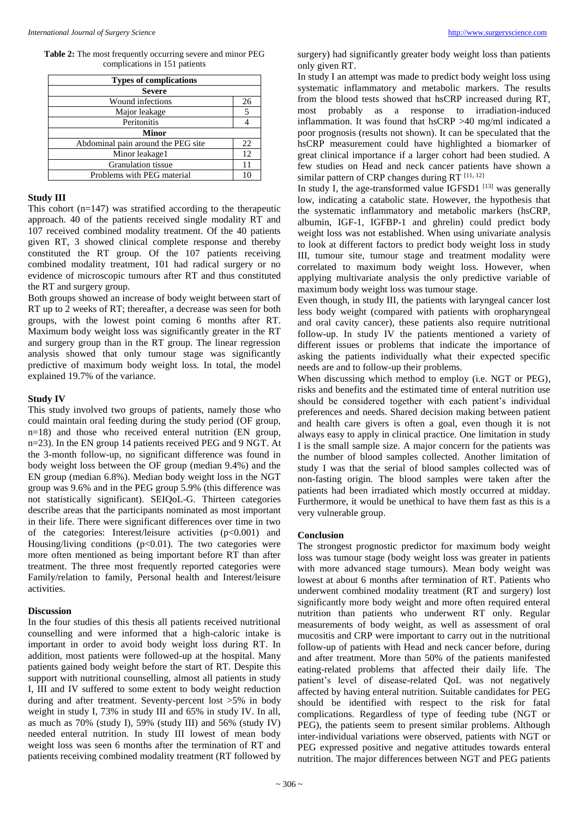**Table 2:** The most frequently occurring severe and minor PEG complications in 151 patients

| <b>Types of complications</b>      |    |  |  |  |  |
|------------------------------------|----|--|--|--|--|
| <b>Severe</b>                      |    |  |  |  |  |
| Wound infections                   |    |  |  |  |  |
| Major leakage                      | 5  |  |  |  |  |
| Peritonitis                        |    |  |  |  |  |
| <b>Minor</b>                       |    |  |  |  |  |
| Abdominal pain around the PEG site | 22 |  |  |  |  |
| Minor leakage1                     | 12 |  |  |  |  |
| Granulation tissue                 |    |  |  |  |  |
| Problems with PEG material         |    |  |  |  |  |

#### **Study III**

This cohort  $(n=147)$  was stratified according to the therapeutic approach. 40 of the patients received single modality RT and 107 received combined modality treatment. Of the 40 patients given RT, 3 showed clinical complete response and thereby constituted the RT group. Of the 107 patients receiving combined modality treatment, 101 had radical surgery or no evidence of microscopic tumours after RT and thus constituted the RT and surgery group.

Both groups showed an increase of body weight between start of RT up to 2 weeks of RT; thereafter, a decrease was seen for both groups, with the lowest point coming 6 months after RT. Maximum body weight loss was significantly greater in the RT and surgery group than in the RT group. The linear regression analysis showed that only tumour stage was significantly predictive of maximum body weight loss. In total, the model explained 19.7% of the variance.

## **Study IV**

This study involved two groups of patients, namely those who could maintain oral feeding during the study period (OF group, n=18) and those who received enteral nutrition (EN group, n=23). In the EN group 14 patients received PEG and 9 NGT. At the 3-month follow-up, no significant difference was found in body weight loss between the OF group (median 9.4%) and the EN group (median 6.8%). Median body weight loss in the NGT group was 9.6% and in the PEG group 5.9% (this difference was not statistically significant). SEIQoL-G. Thirteen categories describe areas that the participants nominated as most important in their life. There were significant differences over time in two of the categories: Interest/leisure activities (p<0.001) and Housing/living conditions  $(p<0.01)$ . The two categories were more often mentioned as being important before RT than after treatment. The three most frequently reported categories were Family/relation to family, Personal health and Interest/leisure activities.

#### **Discussion**

In the four studies of this thesis all patients received nutritional counselling and were informed that a high-caloric intake is important in order to avoid body weight loss during RT. In addition, most patients were followed-up at the hospital. Many patients gained body weight before the start of RT. Despite this support with nutritional counselling, almost all patients in study I, III and IV suffered to some extent to body weight reduction during and after treatment. Seventy-percent lost >5% in body weight in study I, 73% in study III and 65% in study IV. In all, as much as 70% (study I), 59% (study III) and 56% (study IV) needed enteral nutrition. In study III lowest of mean body weight loss was seen 6 months after the termination of RT and patients receiving combined modality treatment (RT followed by

surgery) had significantly greater body weight loss than patients only given RT.

In study I an attempt was made to predict body weight loss using systematic inflammatory and metabolic markers. The results from the blood tests showed that hsCRP increased during RT, most probably as a response to irradiation-induced inflammation. It was found that hsCRP >40 mg/ml indicated a poor prognosis (results not shown). It can be speculated that the hsCRP measurement could have highlighted a biomarker of great clinical importance if a larger cohort had been studied. A few studies on Head and neck cancer patients have shown a similar pattern of CRP changes during  $\overline{RT}$ <sup>[11, 12]</sup>

In study I, the age-transformed value IGFSD1  $^{[13]}$  was generally low, indicating a catabolic state. However, the hypothesis that the systematic inflammatory and metabolic markers (hsCRP, albumin, IGF-1, IGFBP-1 and ghrelin) could predict body weight loss was not established. When using univariate analysis to look at different factors to predict body weight loss in study III, tumour site, tumour stage and treatment modality were correlated to maximum body weight loss. However, when applying multivariate analysis the only predictive variable of maximum body weight loss was tumour stage.

Even though, in study III, the patients with laryngeal cancer lost less body weight (compared with patients with oropharyngeal and oral cavity cancer), these patients also require nutritional follow-up. In study IV the patients mentioned a variety of different issues or problems that indicate the importance of asking the patients individually what their expected specific needs are and to follow-up their problems.

When discussing which method to employ (i.e. NGT or PEG), risks and benefits and the estimated time of enteral nutrition use should be considered together with each patient's individual preferences and needs. Shared decision making between patient and health care givers is often a goal, even though it is not always easy to apply in clinical practice. One limitation in study I is the small sample size. A major concern for the patients was the number of blood samples collected. Another limitation of study I was that the serial of blood samples collected was of non-fasting origin. The blood samples were taken after the patients had been irradiated which mostly occurred at midday. Furthermore, it would be unethical to have them fast as this is a very vulnerable group.

### **Conclusion**

The strongest prognostic predictor for maximum body weight loss was tumour stage (body weight loss was greater in patients with more advanced stage tumours). Mean body weight was lowest at about 6 months after termination of RT. Patients who underwent combined modality treatment (RT and surgery) lost significantly more body weight and more often required enteral nutrition than patients who underwent RT only. Regular measurements of body weight, as well as assessment of oral mucositis and CRP were important to carry out in the nutritional follow-up of patients with Head and neck cancer before, during and after treatment. More than 50% of the patients manifested eating-related problems that affected their daily life. The patient's level of disease-related QoL was not negatively affected by having enteral nutrition. Suitable candidates for PEG should be identified with respect to the risk for fatal complications. Regardless of type of feeding tube (NGT or PEG), the patients seem to present similar problems. Although inter-individual variations were observed, patients with NGT or PEG expressed positive and negative attitudes towards enteral nutrition. The major differences between NGT and PEG patients